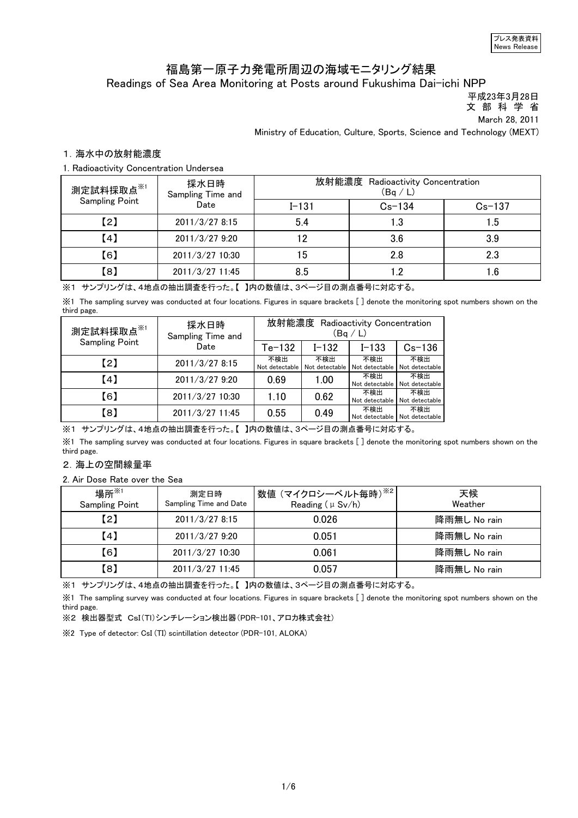## 福島第一原子力発電所周辺の海域モニタリング結果 Readings of Sea Area Monitoring at Posts around Fukushima Dai-ichi NPP

平成23年3月28日

文 部 科 学 省

March 28, 2011

Ministry of Education, Culture, Sports, Science and Technology (MEXT)

## 1.海水中の放射能濃度

1. Radioactivity Concentration Undersea

| 測定試料採取点 <sup>※1</sup><br><b>Sampling Point</b> | 採水日時<br>Sampling Time and | 放射能濃度<br>Radioactivity Concentration<br>(Bq / L) |            |            |
|------------------------------------------------|---------------------------|--------------------------------------------------|------------|------------|
|                                                | Date                      | $I - 131$                                        | $Cs - 134$ | $Cs - 137$ |
| 【2】                                            | 2011/3/278:15             | 5.4                                              | 1.3        | 1.5        |
| 【4】                                            | 2011/3/27 9:20            | 2                                                | 3.6        | 3.9        |
| 【6】                                            | 2011/3/27 10:30           | 15                                               | 2.8        | 2.3        |
| 【8】                                            | 2011/3/27 11:45           | 8.5                                              | $\cdot$ .2 | .6         |

※1 サンプリングは、4地点の抽出調査を行った。【 】内の数値は、3ページ目の測点番号に対応する。

※1 The sampling survey was conducted at four locations. Figures in square brackets [ ] denote the monitoring spot numbers shown on the third page.

| 測定試料採取点※1             | 採水日時<br>Sampling Time and | 放射能濃度<br>Radioactivity Concentration<br>(Bq/L) |                       |                       |                       |
|-----------------------|---------------------------|------------------------------------------------|-----------------------|-----------------------|-----------------------|
| <b>Sampling Point</b> | Date                      | $Te-132$                                       | $I - 132$             | $I - 133$             | $Cs - 136$            |
| (2)                   | 2011/3/27 8:15            | 不検出<br>Not detectable                          | 不検出<br>Not detectable | 不検出<br>Not detectable | 不検出<br>Not detectable |
| [4]                   | 2011/3/27 9:20            | 0.69                                           | 1.00                  | 不検出<br>Not detectable | 不検出<br>Not detectable |
| 【6】                   | 2011/3/27 10:30           | 1.10                                           | 0.62                  | 不検出<br>Not detectable | 不検出<br>Not detectable |
| 【8】                   | 2011/3/27 11:45           | 0.55                                           | 0.49                  | 不検出<br>Not detectable | 不検出<br>Not detectable |

※1 サンプリングは、4地点の抽出調査を行った。【 】内の数値は、3ページ目の測点番号に対応する。

※1 The sampling survey was conducted at four locations. Figures in square brackets [ ] denote the monitoring spot numbers shown on the third page.

## 2.海上の空間線量率

2. Air Dose Rate over the Sea

| 場所 ${{}^{\times}_{1}}$<br><b>Sampling Point</b> | 測定日時<br>Sampling Time and Date | <sup>!</sup> 数値 (マイクロシーベルト毎時) <sup>※2</sup>  <br>Reading $(\mu Sv/h)$ | 天候<br>Weather |
|-------------------------------------------------|--------------------------------|-----------------------------------------------------------------------|---------------|
| (2)                                             | 2011/3/278:15                  | 0.026                                                                 | 降雨無し No rain  |
| (4)                                             | 2011/3/27 9:20                 | 0.051                                                                 | 降雨無し No rain  |
| 【6】                                             | 2011/3/27 10:30                | 0.061                                                                 | 降雨無し No rain  |
| 【8】                                             | 2011/3/27 11:45                | 0.057                                                                 | 降雨無し No rain  |

※1 サンプリングは、4地点の抽出調査を行った。【 】内の数値は、3ページ目の測点番号に対応する。

※1 The sampling survey was conducted at four locations. Figures in square brackets [ ] denote the monitoring spot numbers shown on the third page.

※2 検出器型式 CsI(Tl)シンチレーション検出器(PDR-101、アロカ株式会社)

※2 Type of detector: CsI (TI) scintillation detector (PDR-101, ALOKA)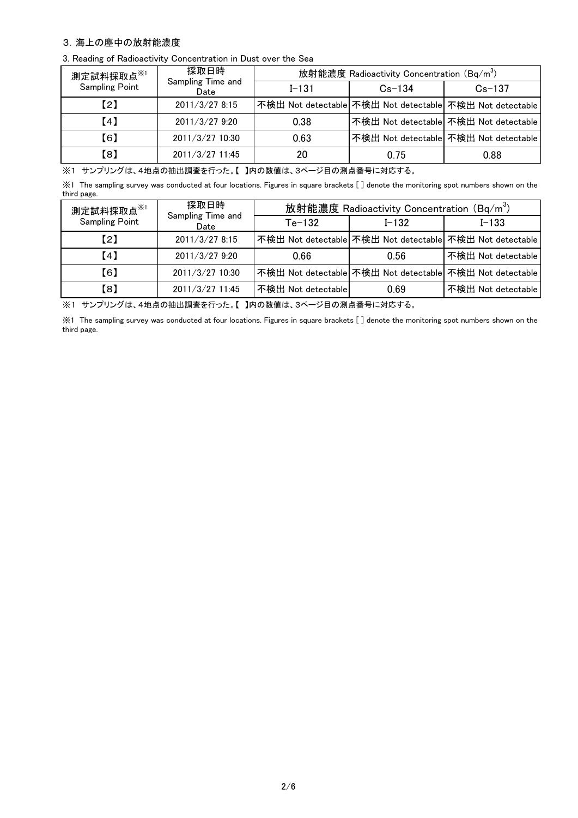## 3.海上の塵中の放射能濃度

3. Reading of Radioactivity Concentration in Dust over the Sea

| 測定試料採取点 <sup>※1</sup> | 採取日時                      | 放射能濃度 Radioactivity Concentration (Bq/m <sup>3</sup> ) |            |                                                          |  |
|-----------------------|---------------------------|--------------------------------------------------------|------------|----------------------------------------------------------|--|
| <b>Sampling Point</b> | Sampling Time and<br>Date | $I - 131$                                              | $Cs - 134$ | $Cs-137$                                                 |  |
| (2)                   | 2011/3/27 8:15            |                                                        |            | 不検出 Not detectable 不検出 Not detectable 不検出 Not detectable |  |
| 【4】                   | 2011/3/27 9:20            | 0.38                                                   |            | 不検出 Not detectable  不検出 Not detectable                   |  |
| 【6】                   | 2011/3/27 10:30           | 0.63                                                   |            | 不検出 Not detectable  不検出 Not detectable                   |  |
| 【8】                   | 2011/3/27 11:45           | 20                                                     | 0.75       | 0.88                                                     |  |

※1 サンプリングは、4地点の抽出調査を行った。【 】内の数値は、3ページ目の測点番号に対応する。

※1 The sampling survey was conducted at four locations. Figures in square brackets [ ] denote the monitoring spot numbers shown on the third page.

| 測定試料採取点 <sup>※1</sup> | 採取日時                      | 放射能濃度 Radioactivity Concentration (Bq/m <sup>3</sup> ) |           |                                                          |  |
|-----------------------|---------------------------|--------------------------------------------------------|-----------|----------------------------------------------------------|--|
| Sampling Point        | Sampling Time and<br>Date | $Te-132$                                               | $I - 132$ | $I - 133$                                                |  |
| (2)                   | 2011/3/27 8:15            |                                                        |           | 不検出 Not detectable 不検出 Not detectable 不検出 Not detectable |  |
| (4)                   | 2011/3/27 9:20            | 0.66                                                   | 0.56      | 不検出 Not detectable                                       |  |
| [6]                   | 2011/3/27 10:30           |                                                        |           | 不検出 Not detectable 不検出 Not detectable 不検出 Not detectable |  |
| 【8】                   | 2011/3/27 11:45           | 不検出 Not detectable                                     | 0.69      | 不検出 Not detectable                                       |  |

※1 サンプリングは、4地点の抽出調査を行った。【 】内の数値は、3ページ目の測点番号に対応する。

※1 The sampling survey was conducted at four locations. Figures in square brackets [ ] denote the monitoring spot numbers shown on the third page.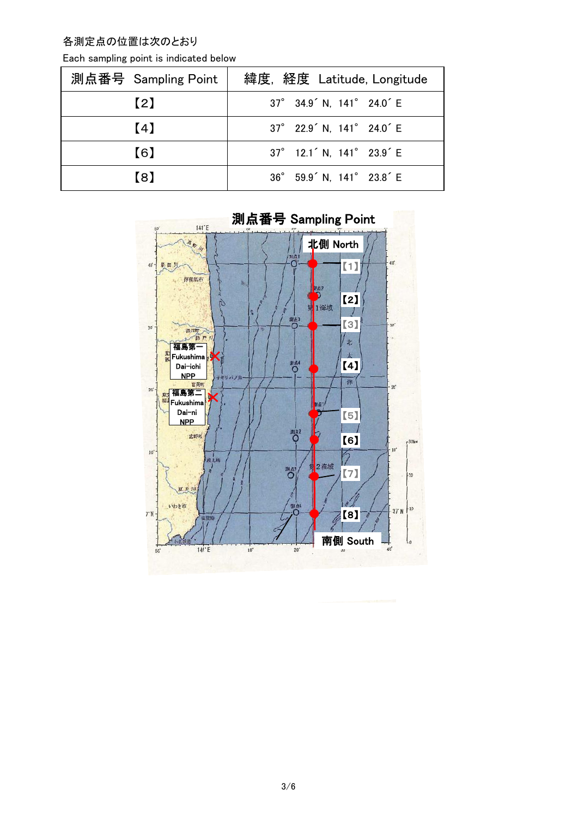各測定点の位置は次のとおり

| 測点番号 Sampling Point | 緯度, 経度 Latitude, Longitude                        |
|---------------------|---------------------------------------------------|
| (2)                 | 37° 34.9 <sup>'</sup> N, 141° 24.0 <sup>'</sup> E |
| (4)                 | 37° 22.9 <sup>'</sup> N, 141° 24.0 <sup>'</sup> E |
| (6)                 | $37^\circ$ 12.1 N, 141 $^\circ$ 23.9 E            |
| [8]                 | 36° 59.9 N, 141° 23.8 E                           |



測点番号 Sampling Point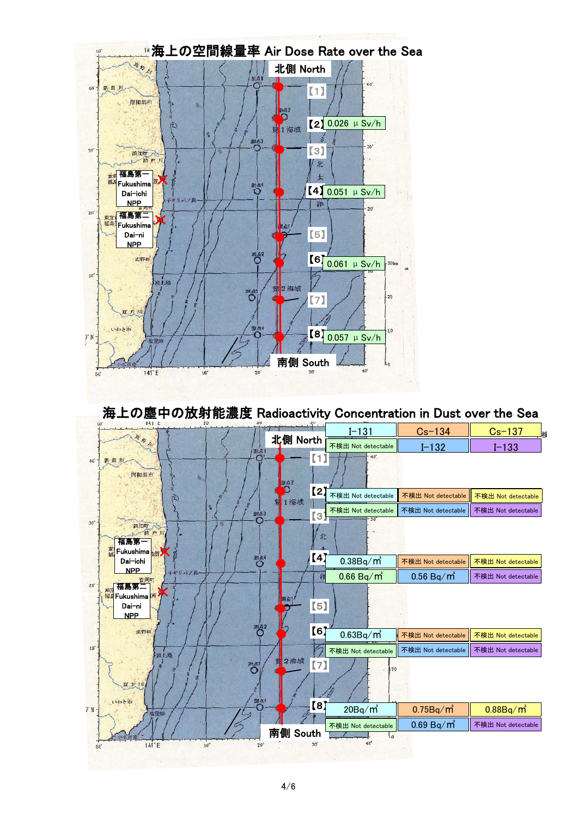

海上の塵中の放射能濃度 Radioactivity Concentration in Dust over the Sea

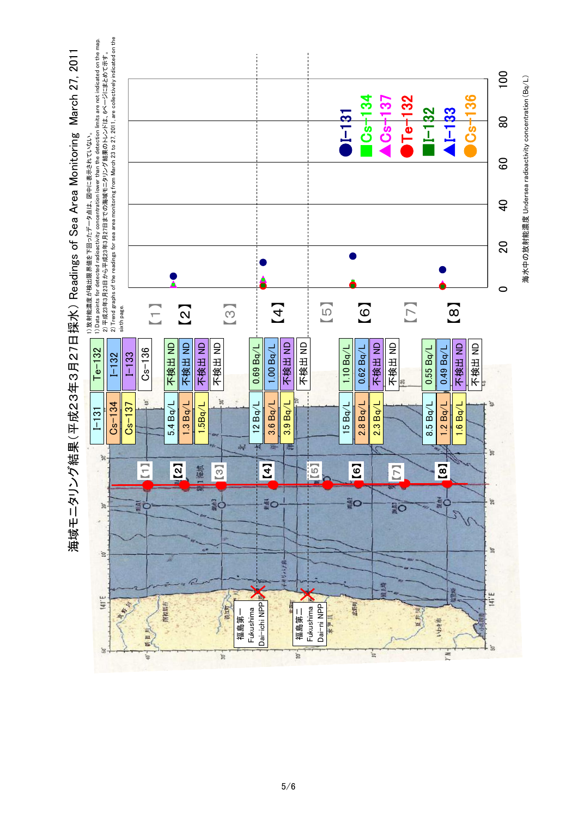

海域モニタリング結果 (平成23年3月27日採水) Readings of Sea Area Monitoring March 27, 2011